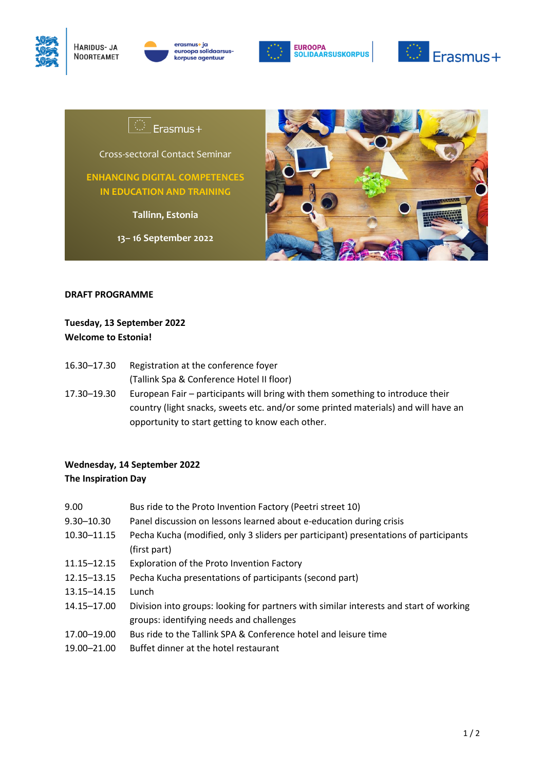



erasmus+ ia euroopa solidaarsus korpuse agentuur





# Erasmus+

Cross-sectoral Contact Seminar

**ENHANCING DIGITAL COMPETENCES IN EDUCATION AND TRAINING**

**Tallinn, Estonia**

**13– 16 September 2022**



#### **DRAFT PROGRAMME**

### **Tuesday, 13 September 2022 Welcome to Estonia!**

- 16.30–17.30 Registration at the conference foyer (Tallink Spa & Conference Hotel II floor)
- 17.30–19.30 European Fair participants will bring with them something to introduce their country (light snacks, sweets etc. and/or some printed materials) and will have an opportunity to start getting to know each other.

### **Wednesday, 14 September 2022 The Inspiration Day**

- 9.00 Bus ride to the Proto Invention Factory (Peetri street 10)
- 9.30–10.30 Panel discussion on lessons learned about e-education during crisis
- 10.30–11.15 Pecha Kucha (modified, only 3 sliders per participant) presentations of participants (first part)
- 11.15–12.15 Exploration of the Proto Invention Factory
- 12.15–13.15 Pecha Kucha presentations of participants (second part)
- 13.15–14.15 Lunch
- 14.15–17.00 Division into groups: looking for partners with similar interests and start of working groups: identifying needs and challenges
- 17.00–19.00 Bus ride to the Tallink SPA & Conference hotel and leisure time
- 19.00–21.00 Buffet dinner at the hotel restaurant